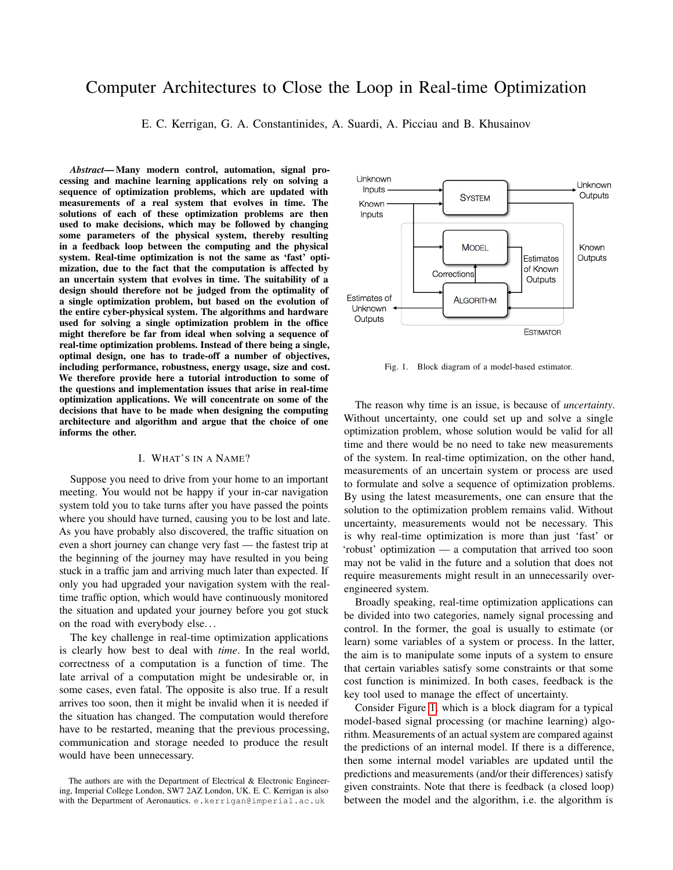# Computer Architectures to Close the Loop in Real-time Optimization

E. C. Kerrigan, G. A. Constantinides, A. Suardi, A. Picciau and B. Khusainov

*Abstract*— Many modern control, automation, signal processing and machine learning applications rely on solving a sequence of optimization problems, which are updated with measurements of a real system that evolves in time. The solutions of each of these optimization problems are then used to make decisions, which may be followed by changing some parameters of the physical system, thereby resulting in a feedback loop between the computing and the physical system. Real-time optimization is not the same as 'fast' optimization, due to the fact that the computation is affected by an uncertain system that evolves in time. The suitability of a design should therefore not be judged from the optimality of a single optimization problem, but based on the evolution of the entire cyber-physical system. The algorithms and hardware used for solving a single optimization problem in the office might therefore be far from ideal when solving a sequence of real-time optimization problems. Instead of there being a single, optimal design, one has to trade-off a number of objectives, including performance, robustness, energy usage, size and cost. We therefore provide here a tutorial introduction to some of the questions and implementation issues that arise in real-time optimization applications. We will concentrate on some of the decisions that have to be made when designing the computing architecture and algorithm and argue that the choice of one informs the other.

#### I. WHAT'S IN A NAME?

Suppose you need to drive from your home to an important meeting. You would not be happy if your in-car navigation system told you to take turns after you have passed the points where you should have turned, causing you to be lost and late. As you have probably also discovered, the traffic situation on even a short journey can change very fast — the fastest trip at the beginning of the journey may have resulted in you being stuck in a traffic jam and arriving much later than expected. If only you had upgraded your navigation system with the realtime traffic option, which would have continuously monitored the situation and updated your journey before you got stuck on the road with everybody else. . .

The key challenge in real-time optimization applications is clearly how best to deal with *time*. In the real world, correctness of a computation is a function of time. The late arrival of a computation might be undesirable or, in some cases, even fatal. The opposite is also true. If a result arrives too soon, then it might be invalid when it is needed if the situation has changed. The computation would therefore have to be restarted, meaning that the previous processing, communication and storage needed to produce the result would have been unnecessary.



<span id="page-0-0"></span>Fig. 1. Block diagram of a model-based estimator.

The reason why time is an issue, is because of *uncertainty*. Without uncertainty, one could set up and solve a single optimization problem, whose solution would be valid for all time and there would be no need to take new measurements of the system. In real-time optimization, on the other hand, measurements of an uncertain system or process are used to formulate and solve a sequence of optimization problems. By using the latest measurements, one can ensure that the solution to the optimization problem remains valid. Without uncertainty, measurements would not be necessary. This is why real-time optimization is more than just 'fast' or 'robust' optimization — a computation that arrived too soon may not be valid in the future and a solution that does not require measurements might result in an unnecessarily overengineered system.

Broadly speaking, real-time optimization applications can be divided into two categories, namely signal processing and control. In the former, the goal is usually to estimate (or learn) some variables of a system or process. In the latter, the aim is to manipulate some inputs of a system to ensure that certain variables satisfy some constraints or that some cost function is minimized. In both cases, feedback is the key tool used to manage the effect of uncertainty.

Consider Figure [1,](#page-0-0) which is a block diagram for a typical model-based signal processing (or machine learning) algorithm. Measurements of an actual system are compared against the predictions of an internal model. If there is a difference, then some internal model variables are updated until the predictions and measurements (and/or their differences) satisfy given constraints. Note that there is feedback (a closed loop) between the model and the algorithm, i.e. the algorithm is

The authors are with the Department of Electrical & Electronic Engineering, Imperial College London, SW7 2AZ London, UK. E. C. Kerrigan is also with the Department of Aeronautics. e.kerrigan@imperial.ac.uk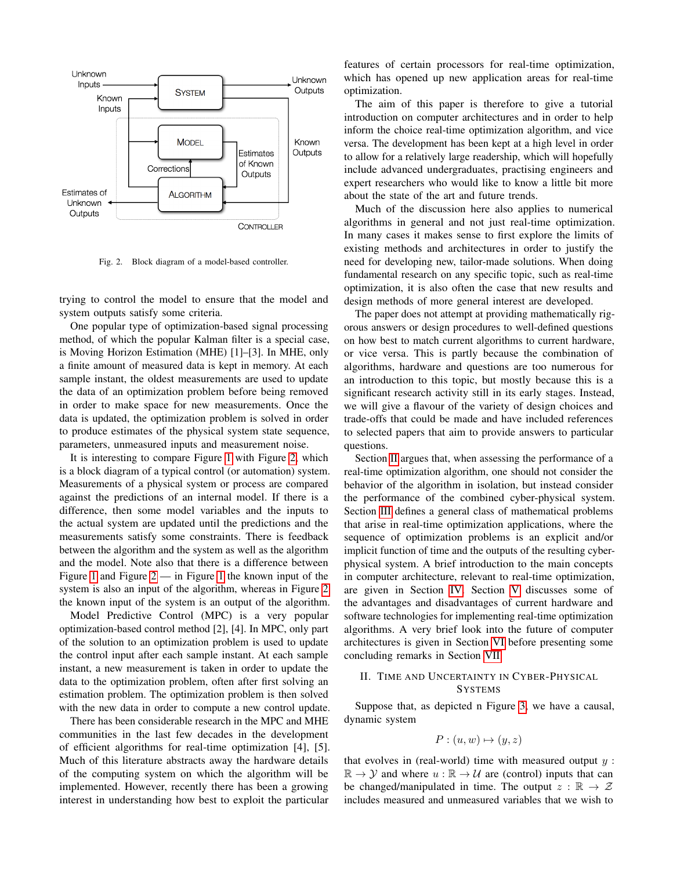

<span id="page-1-0"></span>Fig. 2. Block diagram of a model-based controller.

trying to control the model to ensure that the model and system outputs satisfy some criteria.

One popular type of optimization-based signal processing method, of which the popular Kalman filter is a special case, is Moving Horizon Estimation (MHE) [1]–[3]. In MHE, only a finite amount of measured data is kept in memory. At each sample instant, the oldest measurements are used to update the data of an optimization problem before being removed in order to make space for new measurements. Once the data is updated, the optimization problem is solved in order to produce estimates of the physical system state sequence, parameters, unmeasured inputs and measurement noise.

It is interesting to compare Figure [1](#page-0-0) with Figure [2,](#page-1-0) which is a block diagram of a typical control (or automation) system. Measurements of a physical system or process are compared against the predictions of an internal model. If there is a difference, then some model variables and the inputs to the actual system are updated until the predictions and the measurements satisfy some constraints. There is feedback between the algorithm and the system as well as the algorithm and the model. Note also that there is a difference between Figure [1](#page-0-0) and Figure  $2 - in$  Figure 1 the known input of the system is also an input of the algorithm, whereas in Figure [2](#page-1-0) the known input of the system is an output of the algorithm.

Model Predictive Control (MPC) is a very popular optimization-based control method [2], [4]. In MPC, only part of the solution to an optimization problem is used to update the control input after each sample instant. At each sample instant, a new measurement is taken in order to update the data to the optimization problem, often after first solving an estimation problem. The optimization problem is then solved with the new data in order to compute a new control update.

There has been considerable research in the MPC and MHE communities in the last few decades in the development of efficient algorithms for real-time optimization [4], [5]. Much of this literature abstracts away the hardware details of the computing system on which the algorithm will be implemented. However, recently there has been a growing interest in understanding how best to exploit the particular

features of certain processors for real-time optimization, which has opened up new application areas for real-time optimization.

The aim of this paper is therefore to give a tutorial introduction on computer architectures and in order to help inform the choice real-time optimization algorithm, and vice versa. The development has been kept at a high level in order to allow for a relatively large readership, which will hopefully include advanced undergraduates, practising engineers and expert researchers who would like to know a little bit more about the state of the art and future trends.

Much of the discussion here also applies to numerical algorithms in general and not just real-time optimization. In many cases it makes sense to first explore the limits of existing methods and architectures in order to justify the need for developing new, tailor-made solutions. When doing fundamental research on any specific topic, such as real-time optimization, it is also often the case that new results and design methods of more general interest are developed.

The paper does not attempt at providing mathematically rigorous answers or design procedures to well-defined questions on how best to match current algorithms to current hardware, or vice versa. This is partly because the combination of algorithms, hardware and questions are too numerous for an introduction to this topic, but mostly because this is a significant research activity still in its early stages. Instead, we will give a flavour of the variety of design choices and trade-offs that could be made and have included references to selected papers that aim to provide answers to particular questions.

Section [II](#page-1-1) argues that, when assessing the performance of a real-time optimization algorithm, one should not consider the behavior of the algorithm in isolation, but instead consider the performance of the combined cyber-physical system. Section [III](#page-3-0) defines a general class of mathematical problems that arise in real-time optimization applications, where the sequence of optimization problems is an explicit and/or implicit function of time and the outputs of the resulting cyberphysical system. A brief introduction to the main concepts in computer architecture, relevant to real-time optimization, are given in Section [IV.](#page-4-0) Section [V](#page-8-0) discusses some of the advantages and disadvantages of current hardware and software technologies for implementing real-time optimization algorithms. A very brief look into the future of computer architectures is given in Section [VI](#page-11-0) before presenting some concluding remarks in Section [VII.](#page-12-0)

# <span id="page-1-1"></span>II. TIME AND UNCERTAINTY IN CYBER-PHYSICAL **SYSTEMS**

Suppose that, as depicted n Figure [3,](#page-2-0) we have a causal, dynamic system

$$
P: (u, w) \mapsto (y, z)
$$

that evolves in (real-world) time with measured output  $y$ :  $\mathbb{R} \to \mathcal{Y}$  and where  $u : \mathbb{R} \to \mathcal{U}$  are (control) inputs that can be changed/manipulated in time. The output  $z : \mathbb{R} \to \mathcal{Z}$ includes measured and unmeasured variables that we wish to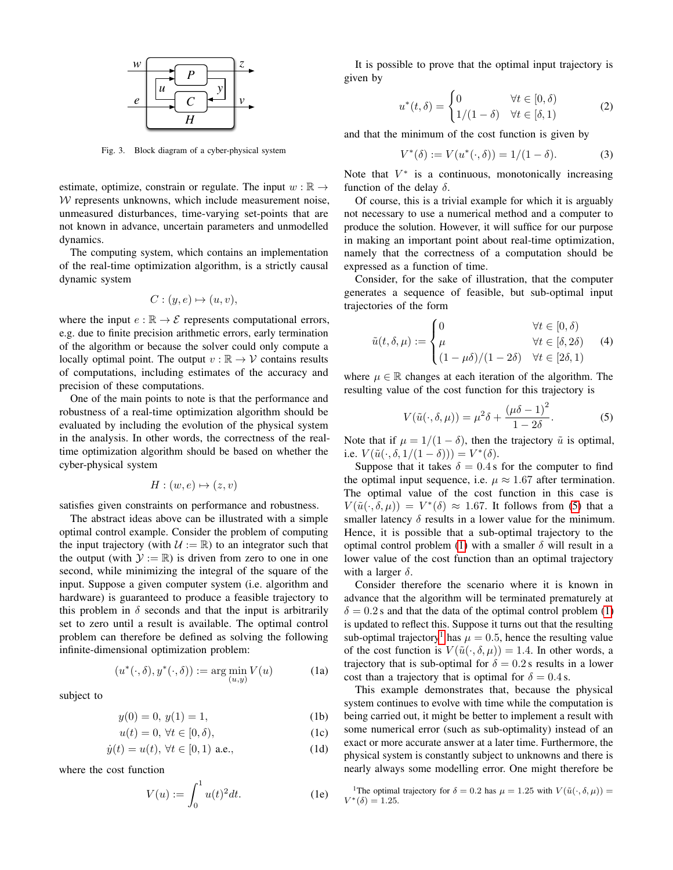

<span id="page-2-0"></span>Fig. 3. Block diagram of a cyber-physical system

estimate, optimize, constrain or regulate. The input  $w : \mathbb{R} \to$  $W$  represents unknowns, which include measurement noise, unmeasured disturbances, time-varying set-points that are not known in advance, uncertain parameters and unmodelled dynamics.

The computing system, which contains an implementation of the real-time optimization algorithm, is a strictly causal dynamic system

$$
C: (y, e) \mapsto (u, v),
$$

where the input  $e : \mathbb{R} \to \mathcal{E}$  represents computational errors, e.g. due to finite precision arithmetic errors, early termination of the algorithm or because the solver could only compute a locally optimal point. The output  $v : \mathbb{R} \to V$  contains results of computations, including estimates of the accuracy and precision of these computations.

One of the main points to note is that the performance and robustness of a real-time optimization algorithm should be evaluated by including the evolution of the physical system in the analysis. In other words, the correctness of the realtime optimization algorithm should be based on whether the cyber-physical system

$$
H: (w, e) \mapsto (z, v)
$$

satisfies given constraints on performance and robustness.

The abstract ideas above can be illustrated with a simple optimal control example. Consider the problem of computing the input trajectory (with  $\mathcal{U} := \mathbb{R}$ ) to an integrator such that the output (with  $\mathcal{Y} := \mathbb{R}$ ) is driven from zero to one in one second, while minimizing the integral of the square of the input. Suppose a given computer system (i.e. algorithm and hardware) is guaranteed to produce a feasible trajectory to this problem in  $\delta$  seconds and that the input is arbitrarily set to zero until a result is available. The optimal control problem can therefore be defined as solving the following infinite-dimensional optimization problem:

$$
(u^*(\cdot,\delta), y^*(\cdot,\delta)) := \arg\min_{(u,y)} V(u)
$$
 (1a)

subject to

$$
y(0) = 0, y(1) = 1,
$$
 (1b)

$$
u(t) = 0, \,\forall t \in [0, \delta), \tag{1c}
$$

$$
\dot{y}(t) = u(t), \,\forall t \in [0,1) \text{ a.e.,}
$$
 (1d)

where the cost function

$$
V(u) := \int_0^1 u(t)^2 dt.
$$
 (1e)

It is possible to prove that the optimal input trajectory is given by

$$
u^*(t,\delta) = \begin{cases} 0 & \forall t \in [0,\delta) \\ 1/(1-\delta) & \forall t \in [\delta,1) \end{cases}
$$
 (2)

and that the minimum of the cost function is given by

$$
V^*(\delta) := V(u^*(\cdot, \delta)) = 1/(1 - \delta).
$$
 (3)

Note that  $V^*$  is a continuous, monotonically increasing function of the delay  $\delta$ .

Of course, this is a trivial example for which it is arguably not necessary to use a numerical method and a computer to produce the solution. However, it will suffice for our purpose in making an important point about real-time optimization, namely that the correctness of a computation should be expressed as a function of time.

Consider, for the sake of illustration, that the computer generates a sequence of feasible, but sub-optimal input trajectories of the form

$$
\tilde{u}(t,\delta,\mu) := \begin{cases}\n0 & \forall t \in [0,\delta) \\
\mu & \forall t \in [\delta,2\delta) \\
(1-\mu\delta)/(1-2\delta) & \forall t \in [2\delta,1)\n\end{cases}
$$
\n(4)

where  $\mu \in \mathbb{R}$  changes at each iteration of the algorithm. The resulting value of the cost function for this trajectory is

<span id="page-2-1"></span>
$$
V(\tilde{u}(\cdot,\delta,\mu)) = \mu^2 \delta + \frac{(\mu\delta - 1)^2}{1 - 2\delta}.
$$
 (5)

Note that if  $\mu = 1/(1 - \delta)$ , then the trajectory  $\tilde{u}$  is optimal, i.e.  $V(\tilde{u}(\cdot,\delta,1/(1-\delta)))=V^*(\delta).$ 

Suppose that it takes  $\delta = 0.4$  s for the computer to find the optimal input sequence, i.e.  $\mu \approx 1.67$  after termination. The optimal value of the cost function in this case is  $V(\tilde{u}(\cdot,\delta,\mu)) = V^*(\delta) \approx 1.67$ . It follows from [\(5\)](#page-2-1) that a smaller latency  $\delta$  results in a lower value for the minimum. Hence, it is possible that a sub-optimal trajectory to the optimal control problem [\(1\)](#page-2-2) with a smaller  $\delta$  will result in a lower value of the cost function than an optimal trajectory with a larger  $\delta$ .

Consider therefore the scenario where it is known in advance that the algorithm will be terminated prematurely at  $\delta = 0.2$  s and that the data of the optimal control problem [\(1\)](#page-2-2) is updated to reflect this. Suppose it turns out that the resulting sub-optimal trajectory<sup>[1](#page-2-3)</sup> has  $\mu = 0.5$ , hence the resulting value of the cost function is  $V(\tilde{u}(\cdot,\delta,\mu)) = 1.4$ . In other words, a trajectory that is sub-optimal for  $\delta = 0.2$  s results in a lower cost than a trajectory that is optimal for  $\delta = 0.4$  s.

<span id="page-2-2"></span>This example demonstrates that, because the physical system continues to evolve with time while the computation is being carried out, it might be better to implement a result with some numerical error (such as sub-optimality) instead of an exact or more accurate answer at a later time. Furthermore, the physical system is constantly subject to unknowns and there is nearly always some modelling error. One might therefore be

<span id="page-2-3"></span><sup>1</sup>The optimal trajectory for  $\delta = 0.2$  has  $\mu = 1.25$  with  $V(\tilde{u}(\cdot, \delta, \mu)) =$  $V^*(\delta) = 1.25$ .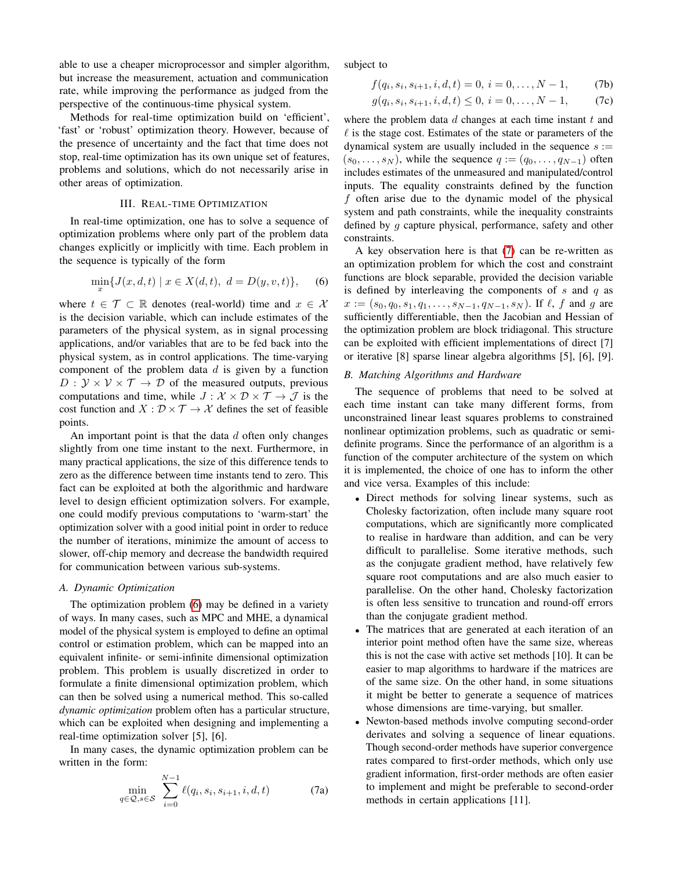able to use a cheaper microprocessor and simpler algorithm, but increase the measurement, actuation and communication rate, while improving the performance as judged from the perspective of the continuous-time physical system.

Methods for real-time optimization build on 'efficient', 'fast' or 'robust' optimization theory. However, because of the presence of uncertainty and the fact that time does not stop, real-time optimization has its own unique set of features, problems and solutions, which do not necessarily arise in other areas of optimization.

## III. REAL-TIME OPTIMIZATION

<span id="page-3-0"></span>In real-time optimization, one has to solve a sequence of optimization problems where only part of the problem data changes explicitly or implicitly with time. Each problem in the sequence is typically of the form

<span id="page-3-1"></span>
$$
\min_{x} \{ J(x, d, t) \mid x \in X(d, t), \ d = D(y, v, t) \}, \tag{6}
$$

where  $t \in \mathcal{T} \subset \mathbb{R}$  denotes (real-world) time and  $x \in \mathcal{X}$ is the decision variable, which can include estimates of the parameters of the physical system, as in signal processing applications, and/or variables that are to be fed back into the physical system, as in control applications. The time-varying component of the problem data  $d$  is given by a function  $D: \mathcal{Y} \times \mathcal{V} \times \mathcal{T} \rightarrow \mathcal{D}$  of the measured outputs, previous computations and time, while  $J : \mathcal{X} \times \mathcal{D} \times \mathcal{T} \rightarrow \mathcal{J}$  is the cost function and  $X : \mathcal{D} \times \mathcal{T} \to \mathcal{X}$  defines the set of feasible points.

An important point is that the data  $d$  often only changes slightly from one time instant to the next. Furthermore, in many practical applications, the size of this difference tends to zero as the difference between time instants tend to zero. This fact can be exploited at both the algorithmic and hardware level to design efficient optimization solvers. For example, one could modify previous computations to 'warm-start' the optimization solver with a good initial point in order to reduce the number of iterations, minimize the amount of access to slower, off-chip memory and decrease the bandwidth required for communication between various sub-systems.

## *A. Dynamic Optimization*

The optimization problem [\(6\)](#page-3-1) may be defined in a variety of ways. In many cases, such as MPC and MHE, a dynamical model of the physical system is employed to define an optimal control or estimation problem, which can be mapped into an equivalent infinite- or semi-infinite dimensional optimization problem. This problem is usually discretized in order to formulate a finite dimensional optimization problem, which can then be solved using a numerical method. This so-called *dynamic optimization* problem often has a particular structure, which can be exploited when designing and implementing a real-time optimization solver [5], [6].

In many cases, the dynamic optimization problem can be written in the form:

<span id="page-3-2"></span>
$$
\min_{q \in \mathcal{Q}, s \in \mathcal{S}} \sum_{i=0}^{N-1} \ell(q_i, s_i, s_{i+1}, i, d, t)
$$
 (7a)

subject to

$$
f(q_i, s_i, s_{i+1}, i, d, t) = 0, i = 0, ..., N - 1,
$$
 (7b)

$$
g(q_i, s_i, s_{i+1}, i, d, t) \le 0, i = 0, ..., N - 1,
$$
 (7c)

where the problem data  $d$  changes at each time instant  $t$  and  $\ell$  is the stage cost. Estimates of the state or parameters of the dynamical system are usually included in the sequence  $s :=$  $(s_0, \ldots, s_N)$ , while the sequence  $q := (q_0, \ldots, q_{N-1})$  often includes estimates of the unmeasured and manipulated/control inputs. The equality constraints defined by the function f often arise due to the dynamic model of the physical system and path constraints, while the inequality constraints defined by g capture physical, performance, safety and other constraints.

A key observation here is that [\(7\)](#page-3-2) can be re-written as an optimization problem for which the cost and constraint functions are block separable, provided the decision variable is defined by interleaving the components of  $s$  and  $q$  as  $x := (s_0, q_0, s_1, q_1, \ldots, s_{N-1}, q_{N-1}, s_N)$ . If  $\ell, f$  and g are sufficiently differentiable, then the Jacobian and Hessian of the optimization problem are block tridiagonal. This structure can be exploited with efficient implementations of direct [7] or iterative [8] sparse linear algebra algorithms [5], [6], [9].

## *B. Matching Algorithms and Hardware*

The sequence of problems that need to be solved at each time instant can take many different forms, from unconstrained linear least squares problems to constrained nonlinear optimization problems, such as quadratic or semidefinite programs. Since the performance of an algorithm is a function of the computer architecture of the system on which it is implemented, the choice of one has to inform the other and vice versa. Examples of this include:

- Direct methods for solving linear systems, such as Cholesky factorization, often include many square root computations, which are significantly more complicated to realise in hardware than addition, and can be very difficult to parallelise. Some iterative methods, such as the conjugate gradient method, have relatively few square root computations and are also much easier to parallelise. On the other hand, Cholesky factorization is often less sensitive to truncation and round-off errors than the conjugate gradient method.
- The matrices that are generated at each iteration of an interior point method often have the same size, whereas this is not the case with active set methods [10]. It can be easier to map algorithms to hardware if the matrices are of the same size. On the other hand, in some situations it might be better to generate a sequence of matrices whose dimensions are time-varying, but smaller.
- Newton-based methods involve computing second-order derivates and solving a sequence of linear equations. Though second-order methods have superior convergence rates compared to first-order methods, which only use gradient information, first-order methods are often easier to implement and might be preferable to second-order methods in certain applications [11].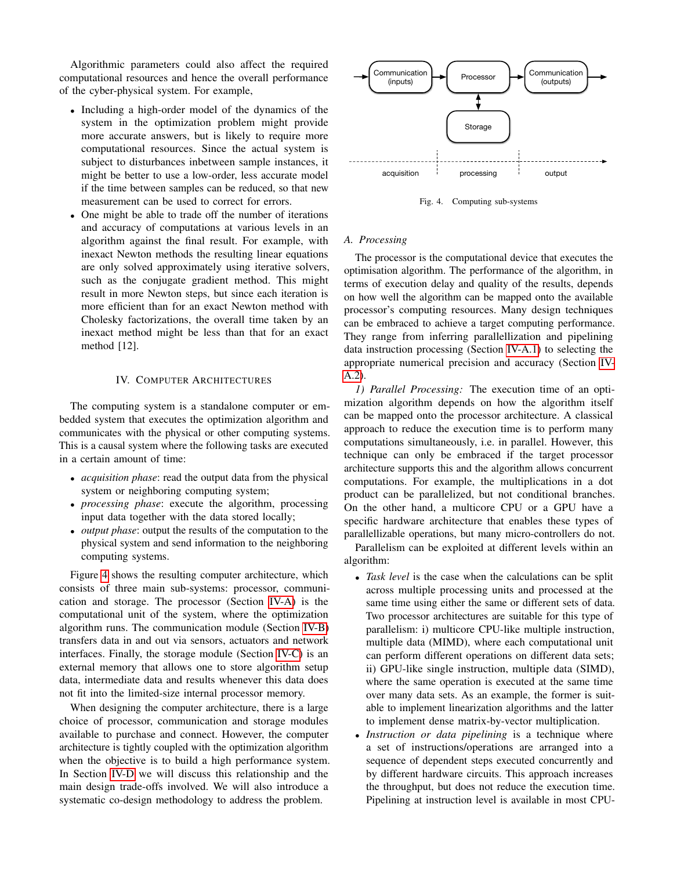Algorithmic parameters could also affect the required computational resources and hence the overall performance of the cyber-physical system. For example,

- Including a high-order model of the dynamics of the system in the optimization problem might provide more accurate answers, but is likely to require more computational resources. Since the actual system is subject to disturbances inbetween sample instances, it might be better to use a low-order, less accurate model if the time between samples can be reduced, so that new measurement can be used to correct for errors.
- One might be able to trade off the number of iterations and accuracy of computations at various levels in an algorithm against the final result. For example, with inexact Newton methods the resulting linear equations are only solved approximately using iterative solvers, such as the conjugate gradient method. This might result in more Newton steps, but since each iteration is more efficient than for an exact Newton method with Cholesky factorizations, the overall time taken by an inexact method might be less than that for an exact method [12].

## IV. COMPUTER ARCHITECTURES

<span id="page-4-0"></span>The computing system is a standalone computer or embedded system that executes the optimization algorithm and communicates with the physical or other computing systems. This is a causal system where the following tasks are executed in a certain amount of time:

- *acquisition phase*: read the output data from the physical system or neighboring computing system;
- *processing phase*: execute the algorithm, processing input data together with the data stored locally;
- *output phase*: output the results of the computation to the physical system and send information to the neighboring computing systems.

Figure [4](#page-4-1) shows the resulting computer architecture, which consists of three main sub-systems: processor, communication and storage. The processor (Section [IV-A\)](#page-4-2) is the computational unit of the system, where the optimization algorithm runs. The communication module (Section [IV-B\)](#page-6-0) transfers data in and out via sensors, actuators and network interfaces. Finally, the storage module (Section [IV-C\)](#page-6-1) is an external memory that allows one to store algorithm setup data, intermediate data and results whenever this data does not fit into the limited-size internal processor memory.

When designing the computer architecture, there is a large choice of processor, communication and storage modules available to purchase and connect. However, the computer architecture is tightly coupled with the optimization algorithm when the objective is to build a high performance system. In Section [IV-D](#page-7-0) we will discuss this relationship and the main design trade-offs involved. We will also introduce a systematic co-design methodology to address the problem.



<span id="page-4-1"></span>Fig. 4. Computing sub-systems

#### <span id="page-4-2"></span>*A. Processing*

The processor is the computational device that executes the optimisation algorithm. The performance of the algorithm, in terms of execution delay and quality of the results, depends on how well the algorithm can be mapped onto the available processor's computing resources. Many design techniques can be embraced to achieve a target computing performance. They range from inferring parallellization and pipelining data instruction processing (Section [IV-A.1\)](#page-4-3) to selecting the appropriate numerical precision and accuracy (Section [IV-](#page-5-0)[A.2\)](#page-5-0).

<span id="page-4-3"></span>*1) Parallel Processing:* The execution time of an optimization algorithm depends on how the algorithm itself can be mapped onto the processor architecture. A classical approach to reduce the execution time is to perform many computations simultaneously, i.e. in parallel. However, this technique can only be embraced if the target processor architecture supports this and the algorithm allows concurrent computations. For example, the multiplications in a dot product can be parallelized, but not conditional branches. On the other hand, a multicore CPU or a GPU have a specific hardware architecture that enables these types of parallellizable operations, but many micro-controllers do not.

Parallelism can be exploited at different levels within an algorithm:

- *Task level* is the case when the calculations can be split across multiple processing units and processed at the same time using either the same or different sets of data. Two processor architectures are suitable for this type of parallelism: i) multicore CPU-like multiple instruction, multiple data (MIMD), where each computational unit can perform different operations on different data sets; ii) GPU-like single instruction, multiple data (SIMD), where the same operation is executed at the same time over many data sets. As an example, the former is suitable to implement linearization algorithms and the latter to implement dense matrix-by-vector multiplication.
- *Instruction or data pipelining* is a technique where a set of instructions/operations are arranged into a sequence of dependent steps executed concurrently and by different hardware circuits. This approach increases the throughput, but does not reduce the execution time. Pipelining at instruction level is available in most CPU-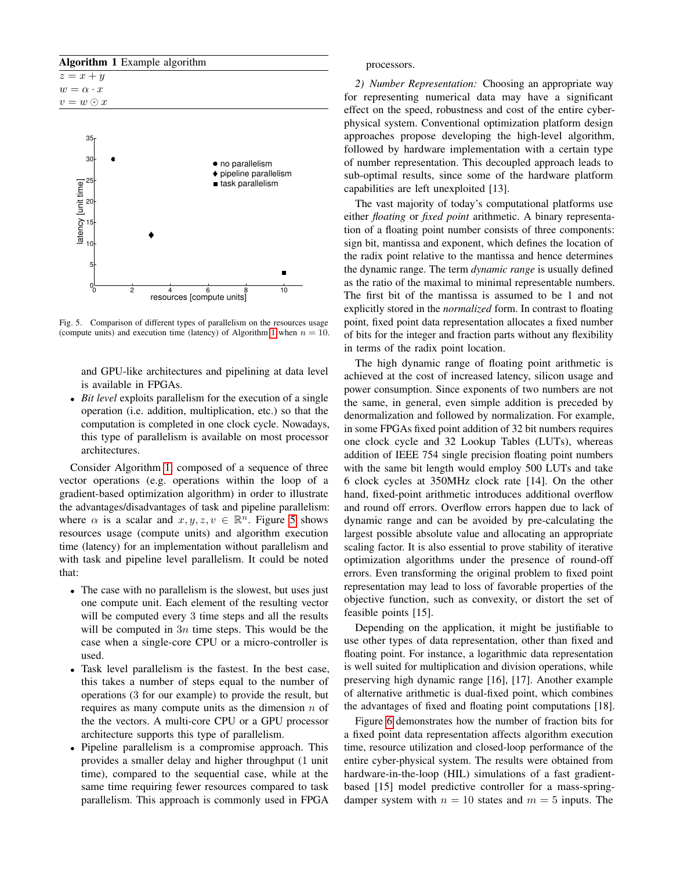<span id="page-5-1"></span>

| <b>Algorithm 1</b> Example algorithm |                        |  |  |  |
|--------------------------------------|------------------------|--|--|--|
| $z = x + y$                          |                        |  |  |  |
| $w = \alpha \cdot x$                 |                        |  |  |  |
| $v = w \odot x$                      |                        |  |  |  |
|                                      |                        |  |  |  |
|                                      |                        |  |  |  |
| 35 <sub>0</sub>                      |                        |  |  |  |
| 30 <sup>2</sup>                      | • no parallelism       |  |  |  |
|                                      | ♦ pipeline parallelism |  |  |  |

■ task parallelism

Fig. 5. Comparison of different types of parallelism on the resources usage (compute units) and execution time (latency) of Algorithm [1](#page-5-1) when  $n = 10$ .

<span id="page-5-2"></span> $\frac{0}{0}$   $\frac{1}{2}$   $\frac{4}{4}$   $\frac{6}{6}$   $\frac{8}{8}$  10

and GPU-like architectures and pipelining at data level is available in FPGAs.

• *Bit level* exploits parallelism for the execution of a single operation (i.e. addition, multiplication, etc.) so that the computation is completed in one clock cycle. Nowadays, this type of parallelism is available on most processor architectures.

Consider Algorithm [1,](#page-5-1) composed of a sequence of three vector operations (e.g. operations within the loop of a gradient-based optimization algorithm) in order to illustrate the advantages/disadvantages of task and pipeline parallelism: where  $\alpha$  is a scalar and  $x, y, z, v \in \mathbb{R}^n$ . Figure [5](#page-5-2) shows resources usage (compute units) and algorithm execution time (latency) for an implementation without parallelism and with task and pipeline level parallelism. It could be noted that:

- The case with no parallelism is the slowest, but uses just one compute unit. Each element of the resulting vector will be computed every 3 time steps and all the results will be computed in  $3n$  time steps. This would be the case when a single-core CPU or a micro-controller is used.
- Task level parallelism is the fastest. In the best case, this takes a number of steps equal to the number of operations (3 for our example) to provide the result, but requires as many compute units as the dimension  $n$  of the the vectors. A multi-core CPU or a GPU processor architecture supports this type of parallelism.
- Pipeline parallelism is a compromise approach. This provides a smaller delay and higher throughput (1 unit time), compared to the sequential case, while at the same time requiring fewer resources compared to task parallelism. This approach is commonly used in FPGA

processors.

<span id="page-5-0"></span>*2) Number Representation:* Choosing an appropriate way for representing numerical data may have a significant effect on the speed, robustness and cost of the entire cyberphysical system. Conventional optimization platform design approaches propose developing the high-level algorithm, followed by hardware implementation with a certain type of number representation. This decoupled approach leads to sub-optimal results, since some of the hardware platform capabilities are left unexploited [13].

The vast majority of today's computational platforms use either *floating* or *fixed point* arithmetic. A binary representation of a floating point number consists of three components: sign bit, mantissa and exponent, which defines the location of the radix point relative to the mantissa and hence determines the dynamic range. The term *dynamic range* is usually defined as the ratio of the maximal to minimal representable numbers. The first bit of the mantissa is assumed to be 1 and not explicitly stored in the *normalized* form. In contrast to floating point, fixed point data representation allocates a fixed number of bits for the integer and fraction parts without any flexibility in terms of the radix point location.

The high dynamic range of floating point arithmetic is achieved at the cost of increased latency, silicon usage and power consumption. Since exponents of two numbers are not the same, in general, even simple addition is preceded by denormalization and followed by normalization. For example, in some FPGAs fixed point addition of 32 bit numbers requires one clock cycle and 32 Lookup Tables (LUTs), whereas addition of IEEE 754 single precision floating point numbers with the same bit length would employ 500 LUTs and take 6 clock cycles at 350MHz clock rate [14]. On the other hand, fixed-point arithmetic introduces additional overflow and round off errors. Overflow errors happen due to lack of dynamic range and can be avoided by pre-calculating the largest possible absolute value and allocating an appropriate scaling factor. It is also essential to prove stability of iterative optimization algorithms under the presence of round-off errors. Even transforming the original problem to fixed point representation may lead to loss of favorable properties of the objective function, such as convexity, or distort the set of feasible points [15].

Depending on the application, it might be justifiable to use other types of data representation, other than fixed and floating point. For instance, a logarithmic data representation is well suited for multiplication and division operations, while preserving high dynamic range [16], [17]. Another example of alternative arithmetic is dual-fixed point, which combines the advantages of fixed and floating point computations [18].

Figure [6](#page-6-2) demonstrates how the number of fraction bits for a fixed point data representation affects algorithm execution time, resource utilization and closed-loop performance of the entire cyber-physical system. The results were obtained from hardware-in-the-loop (HIL) simulations of a fast gradientbased [15] model predictive controller for a mass-springdamper system with  $n = 10$  states and  $m = 5$  inputs. The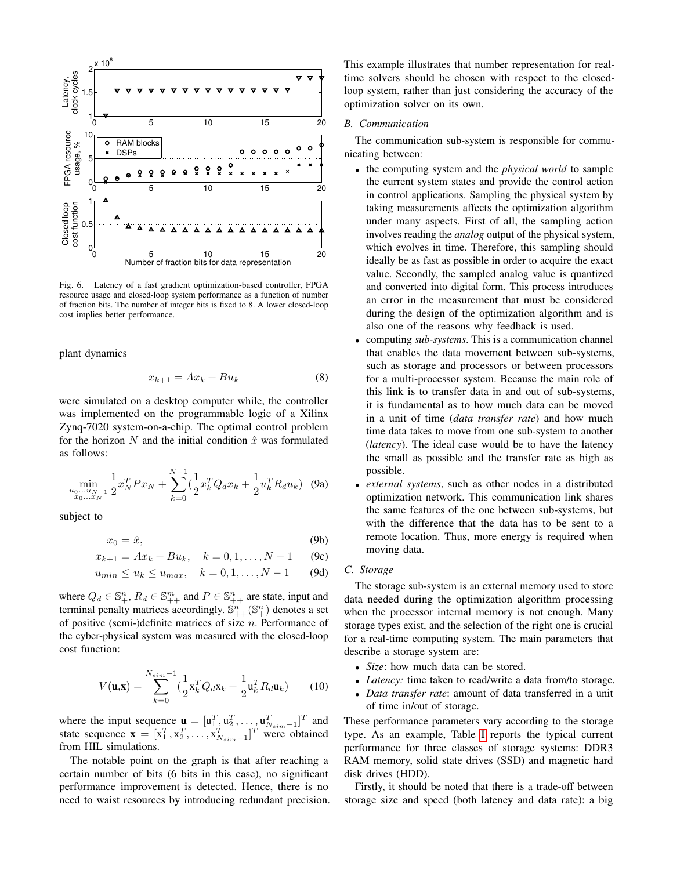

<span id="page-6-2"></span>Fig. 6. Latency of a fast gradient optimization-based controller, FPGA resource usage and closed-loop system performance as a function of number of fraction bits. The number of integer bits is fixed to 8. A lower closed-loop cost implies better performance.

plant dynamics

$$
x_{k+1} = Ax_k + Bu_k \tag{8}
$$

were simulated on a desktop computer while, the controller was implemented on the programmable logic of a Xilinx Zynq-7020 system-on-a-chip. The optimal control problem for the horizon N and the initial condition  $\hat{x}$  was formulated as follows:

$$
\min_{\substack{u_0...u_{N-1} \\ x_0...x_N}} \frac{1}{2} x_N^T P x_N + \sum_{k=0}^{N-1} \left(\frac{1}{2} x_k^T Q_d x_k + \frac{1}{2} u_k^T R_d u_k\right) \tag{9a}
$$

subject to

$$
x_0 = \hat{x},\tag{9b}
$$

$$
x_{k+1} = Ax_k + Bu_k, \quad k = 0, 1, ..., N - 1 \quad (9c)
$$

$$
u_{min} \le u_k \le u_{max}, \quad k = 0, 1, ..., N - 1 \quad (9d)
$$

where  $Q_d \in \mathbb{S}_{+}^n$ ,  $R_d \in \mathbb{S}_{++}^m$  and  $P \in \mathbb{S}_{++}^n$  are state, input and terminal penalty matrices accordingly.  $\mathbb{S}^n_{++}(\mathbb{S}^n_{+})$  denotes a set of positive (semi-)definite matrices of size  $n$ . Performance of the cyber-physical system was measured with the closed-loop cost function:

$$
V(\mathbf{u}, \mathbf{x}) = \sum_{k=0}^{N_{sim}-1} \left(\frac{1}{2} \mathbf{x}_k^T Q_d \mathbf{x}_k + \frac{1}{2} \mathbf{u}_k^T R_d \mathbf{u}_k\right)
$$
(10)

where the input sequence  $\mathbf{u} = [\mathbf{u}_1^T, \mathbf{u}_2^T, \dots, \mathbf{u}_{N_{sim}-1}^T]^T$  and where the input sequence  $\mathbf{u} = [u_1, u_2, \dots, u_{N_{sim}-1}]^T$  and state sequence  $\mathbf{x} = [x_1^T, x_2^T, \dots, x_{N_{sim}-1}]^T$  were obtained from HIL simulations.

The notable point on the graph is that after reaching a certain number of bits (6 bits in this case), no significant performance improvement is detected. Hence, there is no need to waist resources by introducing redundant precision. This example illustrates that number representation for realtime solvers should be chosen with respect to the closedloop system, rather than just considering the accuracy of the optimization solver on its own.

#### <span id="page-6-0"></span>*B. Communication*

The communication sub-system is responsible for communicating between:

- the computing system and the *physical world* to sample the current system states and provide the control action in control applications. Sampling the physical system by taking measurements affects the optimization algorithm under many aspects. First of all, the sampling action involves reading the *analog* output of the physical system, which evolves in time. Therefore, this sampling should ideally be as fast as possible in order to acquire the exact value. Secondly, the sampled analog value is quantized and converted into digital form. This process introduces an error in the measurement that must be considered during the design of the optimization algorithm and is also one of the reasons why feedback is used.
- computing *sub-systems*. This is a communication channel that enables the data movement between sub-systems, such as storage and processors or between processors for a multi-processor system. Because the main role of this link is to transfer data in and out of sub-systems, it is fundamental as to how much data can be moved in a unit of time (*data transfer rate*) and how much time data takes to move from one sub-system to another (*latency*). The ideal case would be to have the latency the small as possible and the transfer rate as high as possible.
- *external systems*, such as other nodes in a distributed optimization network. This communication link shares the same features of the one between sub-systems, but with the difference that the data has to be sent to a remote location. Thus, more energy is required when moving data.

## <span id="page-6-1"></span>*C. Storage*

The storage sub-system is an external memory used to store data needed during the optimization algorithm processing when the processor internal memory is not enough. Many storage types exist, and the selection of the right one is crucial for a real-time computing system. The main parameters that describe a storage system are:

- *Size*: how much data can be stored.
- *Latency*: time taken to read/write a data from/to storage.
- *Data transfer rate*: amount of data transferred in a unit of time in/out of storage.

These performance parameters vary according to the storage type. As an example, Table [I](#page-7-1) reports the typical current performance for three classes of storage systems: DDR3 RAM memory, solid state drives (SSD) and magnetic hard disk drives (HDD).

Firstly, it should be noted that there is a trade-off between storage size and speed (both latency and data rate): a big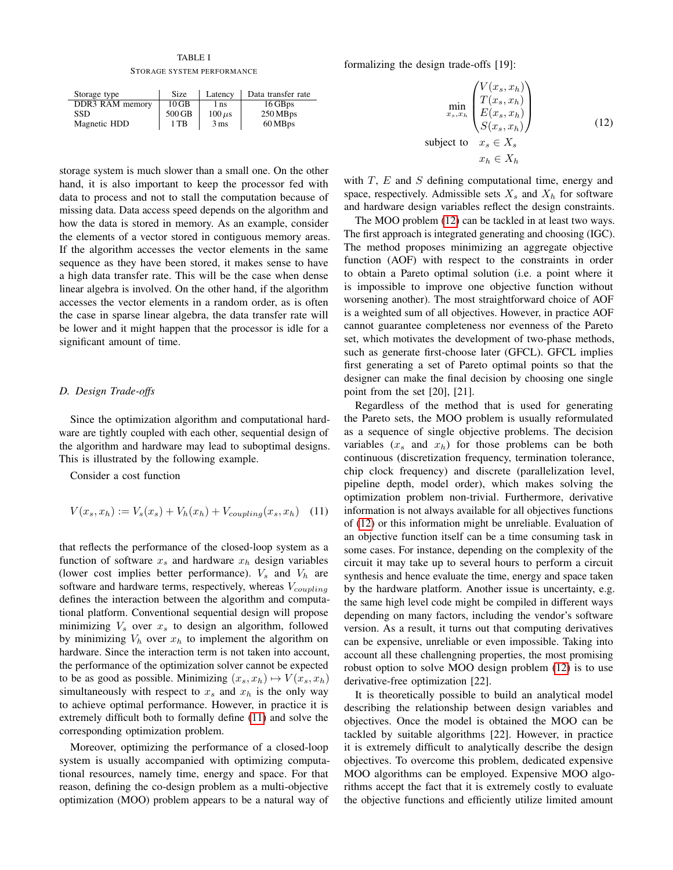TABLE I STORAGE SYSTEM PERFORMANCE

<span id="page-7-1"></span>

| Storage type    | Size    | Latency        | Data transfer rate |
|-----------------|---------|----------------|--------------------|
| DDR3 RAM memory | $10$ GB | 1 ns           | 16 GBps            |
| SSD             | 500 GB  | $100 \mu s$    | 250 MBps           |
| Magnetic HDD    | 1 TB    | $3 \text{ ms}$ | 60 MBps            |

storage system is much slower than a small one. On the other hand, it is also important to keep the processor fed with data to process and not to stall the computation because of missing data. Data access speed depends on the algorithm and how the data is stored in memory. As an example, consider the elements of a vector stored in contiguous memory areas. If the algorithm accesses the vector elements in the same sequence as they have been stored, it makes sense to have a high data transfer rate. This will be the case when dense linear algebra is involved. On the other hand, if the algorithm accesses the vector elements in a random order, as is often the case in sparse linear algebra, the data transfer rate will be lower and it might happen that the processor is idle for a significant amount of time.

## <span id="page-7-0"></span>*D. Design Trade-offs*

Since the optimization algorithm and computational hardware are tightly coupled with each other, sequential design of the algorithm and hardware may lead to suboptimal designs. This is illustrated by the following example.

Consider a cost function

<span id="page-7-2"></span>
$$
V(x_s, x_h) := V_s(x_s) + V_h(x_h) + V_{coupling}(x_s, x_h) \quad (11)
$$

that reflects the performance of the closed-loop system as a function of software  $x_s$  and hardware  $x_h$  design variables (lower cost implies better performance).  $V_s$  and  $V_h$  are software and hardware terms, respectively, whereas  $V_{coupling}$ defines the interaction between the algorithm and computational platform. Conventional sequential design will propose minimizing  $V_s$  over  $x_s$  to design an algorithm, followed by minimizing  $V_h$  over  $x_h$  to implement the algorithm on hardware. Since the interaction term is not taken into account, the performance of the optimization solver cannot be expected to be as good as possible. Minimizing  $(x_s, x_h) \mapsto V(x_s, x_h)$ simultaneously with respect to  $x_s$  and  $x_h$  is the only way to achieve optimal performance. However, in practice it is extremely difficult both to formally define [\(11\)](#page-7-2) and solve the corresponding optimization problem.

Moreover, optimizing the performance of a closed-loop system is usually accompanied with optimizing computational resources, namely time, energy and space. For that reason, defining the co-design problem as a multi-objective optimization (MOO) problem appears to be a natural way of

formalizing the design trade-offs [19]:

<span id="page-7-3"></span>
$$
\min_{x_s, x_h} \begin{pmatrix} V(x_s, x_h) \\ T(x_s, x_h) \\ E(x_s, x_h) \\ S(x_s, x_h) \end{pmatrix}
$$
\n  
\nsubject to 
$$
x_s \in X_s
$$
\n
$$
x_h \in X_h
$$
\n(12)

with  $T$ ,  $E$  and  $S$  defining computational time, energy and space, respectively. Admissible sets  $X_s$  and  $X_h$  for software and hardware design variables reflect the design constraints.

The MOO problem [\(12\)](#page-7-3) can be tackled in at least two ways. The first approach is integrated generating and choosing (IGC). The method proposes minimizing an aggregate objective function (AOF) with respect to the constraints in order to obtain a Pareto optimal solution (i.e. a point where it is impossible to improve one objective function without worsening another). The most straightforward choice of AOF is a weighted sum of all objectives. However, in practice AOF cannot guarantee completeness nor evenness of the Pareto set, which motivates the development of two-phase methods, such as generate first-choose later (GFCL). GFCL implies first generating a set of Pareto optimal points so that the designer can make the final decision by choosing one single point from the set [20], [21].

Regardless of the method that is used for generating the Pareto sets, the MOO problem is usually reformulated as a sequence of single objective problems. The decision variables  $(x_s$  and  $x_h$ ) for those problems can be both continuous (discretization frequency, termination tolerance, chip clock frequency) and discrete (parallelization level, pipeline depth, model order), which makes solving the optimization problem non-trivial. Furthermore, derivative information is not always available for all objectives functions of [\(12\)](#page-7-3) or this information might be unreliable. Evaluation of an objective function itself can be a time consuming task in some cases. For instance, depending on the complexity of the circuit it may take up to several hours to perform a circuit synthesis and hence evaluate the time, energy and space taken by the hardware platform. Another issue is uncertainty, e.g. the same high level code might be compiled in different ways depending on many factors, including the vendor's software version. As a result, it turns out that computing derivatives can be expensive, unreliable or even impossible. Taking into account all these challengning properties, the most promising robust option to solve MOO design problem [\(12\)](#page-7-3) is to use derivative-free optimization [22].

It is theoretically possible to build an analytical model describing the relationship between design variables and objectives. Once the model is obtained the MOO can be tackled by suitable algorithms [22]. However, in practice it is extremely difficult to analytically describe the design objectives. To overcome this problem, dedicated expensive MOO algorithms can be employed. Expensive MOO algorithms accept the fact that it is extremely costly to evaluate the objective functions and efficiently utilize limited amount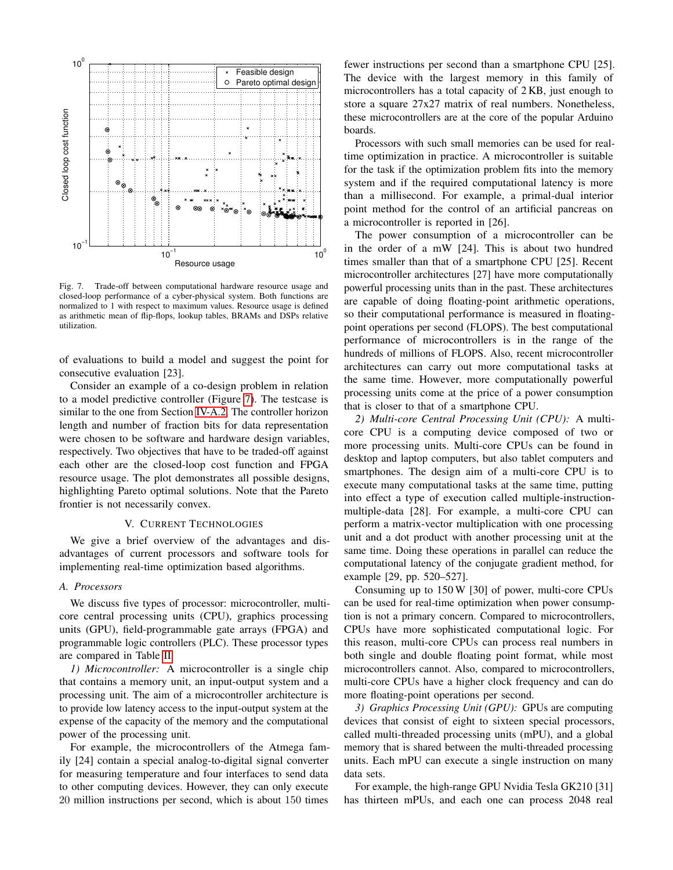

<span id="page-8-1"></span>Fig. 7. Trade-off between computational hardware resource usage and closed-loop performance of a cyber-physical system. Both functions are normalized to 1 with respect to maximum values. Resource usage is defined as arithmetic mean of flip-flops, lookup tables, BRAMs and DSPs relative utilization.

of evaluations to build a model and suggest the point for consecutive evaluation [23].

Consider an example of a co-design problem in relation to a model predictive controller (Figure [7\)](#page-8-1). The testcase is similar to the one from Section [IV-A.2.](#page-5-0) The controller horizon length and number of fraction bits for data representation were chosen to be software and hardware design variables, respectively. Two objectives that have to be traded-off against each other are the closed-loop cost function and FPGA resource usage. The plot demonstrates all possible designs, highlighting Pareto optimal solutions. Note that the Pareto frontier is not necessarily convex.

## V. CURRENT TECHNOLOGIES

<span id="page-8-0"></span>We give a brief overview of the advantages and disadvantages of current processors and software tools for implementing real-time optimization based algorithms.

## *A. Processors*

We discuss five types of processor: microcontroller, multicore central processing units (CPU), graphics processing units (GPU), field-programmable gate arrays (FPGA) and programmable logic controllers (PLC). These processor types are compared in Table [II.](#page-9-0)

*1) Microcontroller:* A microcontroller is a single chip that contains a memory unit, an input-output system and a processing unit. The aim of a microcontroller architecture is to provide low latency access to the input-output system at the expense of the capacity of the memory and the computational power of the processing unit.

For example, the microcontrollers of the Atmega family [24] contain a special analog-to-digital signal converter for measuring temperature and four interfaces to send data to other computing devices. However, they can only execute 20 million instructions per second, which is about 150 times fewer instructions per second than a smartphone CPU [25]. The device with the largest memory in this family of microcontrollers has a total capacity of 2 KB, just enough to store a square 27x27 matrix of real numbers. Nonetheless, these microcontrollers are at the core of the popular Arduino boards.

Processors with such small memories can be used for realtime optimization in practice. A microcontroller is suitable for the task if the optimization problem fits into the memory system and if the required computational latency is more than a millisecond. For example, a primal-dual interior point method for the control of an artificial pancreas on a microcontroller is reported in [26].

The power consumption of a microcontroller can be in the order of a mW [24]. This is about two hundred times smaller than that of a smartphone CPU [25]. Recent microcontroller architectures [27] have more computationally powerful processing units than in the past. These architectures are capable of doing floating-point arithmetic operations, so their computational performance is measured in floatingpoint operations per second (FLOPS). The best computational performance of microcontrollers is in the range of the hundreds of millions of FLOPS. Also, recent microcontroller architectures can carry out more computational tasks at the same time. However, more computationally powerful processing units come at the price of a power consumption that is closer to that of a smartphone CPU.

*2) Multi-core Central Processing Unit (CPU):* A multicore CPU is a computing device composed of two or more processing units. Multi-core CPUs can be found in desktop and laptop computers, but also tablet computers and smartphones. The design aim of a multi-core CPU is to execute many computational tasks at the same time, putting into effect a type of execution called multiple-instructionmultiple-data [28]. For example, a multi-core CPU can perform a matrix-vector multiplication with one processing unit and a dot product with another processing unit at the same time. Doing these operations in parallel can reduce the computational latency of the conjugate gradient method, for example [29, pp. 520–527].

Consuming up to 150 W [30] of power, multi-core CPUs can be used for real-time optimization when power consumption is not a primary concern. Compared to microcontrollers, CPUs have more sophisticated computational logic. For this reason, multi-core CPUs can process real numbers in both single and double floating point format, while most microcontrollers cannot. Also, compared to microcontrollers, multi-core CPUs have a higher clock frequency and can do more floating-point operations per second.

*3) Graphics Processing Unit (GPU):* GPUs are computing devices that consist of eight to sixteen special processors, called multi-threaded processing units (mPU), and a global memory that is shared between the multi-threaded processing units. Each mPU can execute a single instruction on many data sets.

For example, the high-range GPU Nvidia Tesla GK210 [31] has thirteen mPUs, and each one can process 2048 real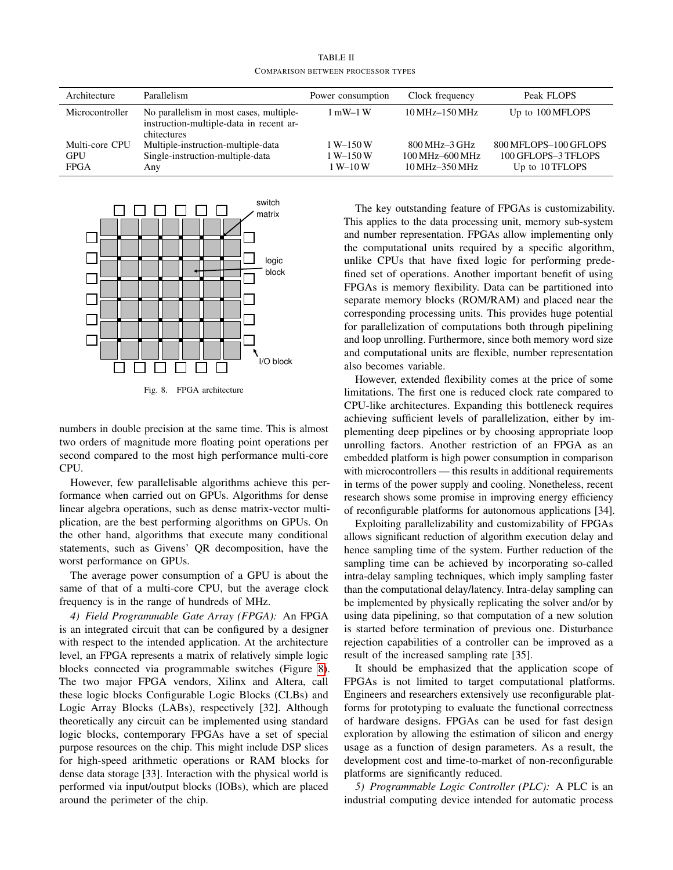TABLE II COMPARISON BETWEEN PROCESSOR TYPES

<span id="page-9-0"></span>

| Architecture                                | Parallelism                                                                                       | Power consumption                        | Clock frequency                                                        | Peak FLOPS                                                      |
|---------------------------------------------|---------------------------------------------------------------------------------------------------|------------------------------------------|------------------------------------------------------------------------|-----------------------------------------------------------------|
| Microcontroller                             | No parallelism in most cases, multiple-<br>instruction-multiple-data in recent ar-<br>chitectures | $1 \text{ mW-1}$ W                       | $10$ MHz- $150$ MHz                                                    | Up to 100 MFLOPS                                                |
| Multi-core CPU<br><b>GPU</b><br><b>FPGA</b> | Multiple-instruction-multiple-data<br>Single-instruction-multiple-data<br>Any                     | $1 W-150 W$<br>$1 W-150 W$<br>$1 W-10 W$ | 800 MHz-3 GHz<br>100 MHz-600 MHz<br>$10 \text{ MHz} - 350 \text{ MHz}$ | 800 MFLOPS-100 GFLOPS<br>100 GFLOPS-3 TFLOPS<br>Up to 10 TFLOPS |



<span id="page-9-1"></span>Fig. 8. FPGA architecture

numbers in double precision at the same time. This is almost two orders of magnitude more floating point operations per second compared to the most high performance multi-core CPU.

However, few parallelisable algorithms achieve this performance when carried out on GPUs. Algorithms for dense linear algebra operations, such as dense matrix-vector multiplication, are the best performing algorithms on GPUs. On the other hand, algorithms that execute many conditional statements, such as Givens' QR decomposition, have the worst performance on GPUs.

The average power consumption of a GPU is about the same of that of a multi-core CPU, but the average clock frequency is in the range of hundreds of MHz.

*4) Field Programmable Gate Array (FPGA):* An FPGA is an integrated circuit that can be configured by a designer with respect to the intended application. At the architecture level, an FPGA represents a matrix of relatively simple logic blocks connected via programmable switches (Figure [8\)](#page-9-1). The two major FPGA vendors, Xilinx and Altera, call these logic blocks Configurable Logic Blocks (CLBs) and Logic Array Blocks (LABs), respectively [32]. Although theoretically any circuit can be implemented using standard logic blocks, contemporary FPGAs have a set of special purpose resources on the chip. This might include DSP slices for high-speed arithmetic operations or RAM blocks for dense data storage [33]. Interaction with the physical world is performed via input/output blocks (IOBs), which are placed around the perimeter of the chip.

The key outstanding feature of FPGAs is customizability. This applies to the data processing unit, memory sub-system and number representation. FPGAs allow implementing only the computational units required by a specific algorithm, unlike CPUs that have fixed logic for performing predefined set of operations. Another important benefit of using FPGAs is memory flexibility. Data can be partitioned into separate memory blocks (ROM/RAM) and placed near the corresponding processing units. This provides huge potential for parallelization of computations both through pipelining and loop unrolling. Furthermore, since both memory word size and computational units are flexible, number representation also becomes variable.

However, extended flexibility comes at the price of some limitations. The first one is reduced clock rate compared to CPU-like architectures. Expanding this bottleneck requires achieving sufficient levels of parallelization, either by implementing deep pipelines or by choosing appropriate loop unrolling factors. Another restriction of an FPGA as an embedded platform is high power consumption in comparison with microcontrollers — this results in additional requirements in terms of the power supply and cooling. Nonetheless, recent research shows some promise in improving energy efficiency of reconfigurable platforms for autonomous applications [34].

Exploiting parallelizability and customizability of FPGAs allows significant reduction of algorithm execution delay and hence sampling time of the system. Further reduction of the sampling time can be achieved by incorporating so-called intra-delay sampling techniques, which imply sampling faster than the computational delay/latency. Intra-delay sampling can be implemented by physically replicating the solver and/or by using data pipelining, so that computation of a new solution is started before termination of previous one. Disturbance rejection capabilities of a controller can be improved as a result of the increased sampling rate [35].

It should be emphasized that the application scope of FPGAs is not limited to target computational platforms. Engineers and researchers extensively use reconfigurable platforms for prototyping to evaluate the functional correctness of hardware designs. FPGAs can be used for fast design exploration by allowing the estimation of silicon and energy usage as a function of design parameters. As a result, the development cost and time-to-market of non-reconfigurable platforms are significantly reduced.

*5) Programmable Logic Controller (PLC):* A PLC is an industrial computing device intended for automatic process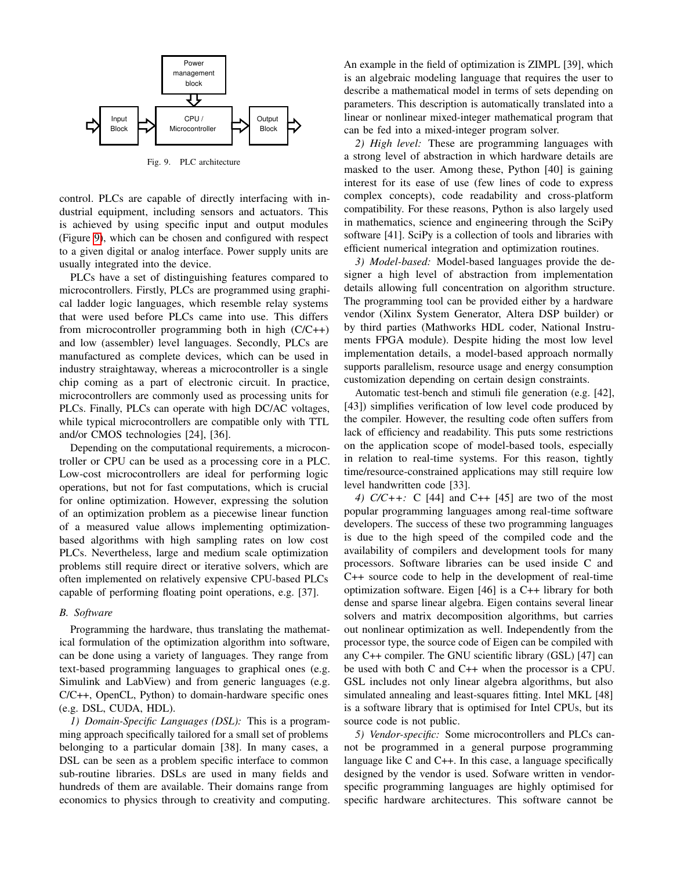

<span id="page-10-0"></span>Fig. 9. PLC architecture

control. PLCs are capable of directly interfacing with industrial equipment, including sensors and actuators. This is achieved by using specific input and output modules (Figure [9\)](#page-10-0), which can be chosen and configured with respect to a given digital or analog interface. Power supply units are usually integrated into the device.

PLCs have a set of distinguishing features compared to microcontrollers. Firstly, PLCs are programmed using graphical ladder logic languages, which resemble relay systems that were used before PLCs came into use. This differs from microcontroller programming both in high (C/C++) and low (assembler) level languages. Secondly, PLCs are manufactured as complete devices, which can be used in industry straightaway, whereas a microcontroller is a single chip coming as a part of electronic circuit. In practice, microcontrollers are commonly used as processing units for PLCs. Finally, PLCs can operate with high DC/AC voltages, while typical microcontrollers are compatible only with TTL and/or CMOS technologies [24], [36].

Depending on the computational requirements, a microcontroller or CPU can be used as a processing core in a PLC. Low-cost microcontrollers are ideal for performing logic operations, but not for fast computations, which is crucial for online optimization. However, expressing the solution of an optimization problem as a piecewise linear function of a measured value allows implementing optimizationbased algorithms with high sampling rates on low cost PLCs. Nevertheless, large and medium scale optimization problems still require direct or iterative solvers, which are often implemented on relatively expensive CPU-based PLCs capable of performing floating point operations, e.g. [37].

## *B. Software*

Programming the hardware, thus translating the mathematical formulation of the optimization algorithm into software, can be done using a variety of languages. They range from text-based programming languages to graphical ones (e.g. Simulink and LabView) and from generic languages (e.g. C/C++, OpenCL, Python) to domain-hardware specific ones (e.g. DSL, CUDA, HDL).

*1) Domain-Specific Languages (DSL):* This is a programming approach specifically tailored for a small set of problems belonging to a particular domain [38]. In many cases, a DSL can be seen as a problem specific interface to common sub-routine libraries. DSLs are used in many fields and hundreds of them are available. Their domains range from economics to physics through to creativity and computing. An example in the field of optimization is ZIMPL [39], which is an algebraic modeling language that requires the user to describe a mathematical model in terms of sets depending on parameters. This description is automatically translated into a linear or nonlinear mixed-integer mathematical program that can be fed into a mixed-integer program solver.

*2) High level:* These are programming languages with a strong level of abstraction in which hardware details are masked to the user. Among these, Python [40] is gaining interest for its ease of use (few lines of code to express complex concepts), code readability and cross-platform compatibility. For these reasons, Python is also largely used in mathematics, science and engineering through the SciPy software [41]. SciPy is a collection of tools and libraries with efficient numerical integration and optimization routines.

*3) Model-based:* Model-based languages provide the designer a high level of abstraction from implementation details allowing full concentration on algorithm structure. The programming tool can be provided either by a hardware vendor (Xilinx System Generator, Altera DSP builder) or by third parties (Mathworks HDL coder, National Instruments FPGA module). Despite hiding the most low level implementation details, a model-based approach normally supports parallelism, resource usage and energy consumption customization depending on certain design constraints.

Automatic test-bench and stimuli file generation (e.g. [42], [43]) simplifies verification of low level code produced by the compiler. However, the resulting code often suffers from lack of efficiency and readability. This puts some restrictions on the application scope of model-based tools, especially in relation to real-time systems. For this reason, tightly time/resource-constrained applications may still require low level handwritten code [33].

*4) C/C++:* C [44] and C++ [45] are two of the most popular programming languages among real-time software developers. The success of these two programming languages is due to the high speed of the compiled code and the availability of compilers and development tools for many processors. Software libraries can be used inside C and C++ source code to help in the development of real-time optimization software. Eigen [46] is a C++ library for both dense and sparse linear algebra. Eigen contains several linear solvers and matrix decomposition algorithms, but carries out nonlinear optimization as well. Independently from the processor type, the source code of Eigen can be compiled with any C++ compiler. The GNU scientific library (GSL) [47] can be used with both C and C++ when the processor is a CPU. GSL includes not only linear algebra algorithms, but also simulated annealing and least-squares fitting. Intel MKL [48] is a software library that is optimised for Intel CPUs, but its source code is not public.

*5) Vendor-specific:* Some microcontrollers and PLCs cannot be programmed in a general purpose programming language like C and C++. In this case, a language specifically designed by the vendor is used. Sofware written in vendorspecific programming languages are highly optimised for specific hardware architectures. This software cannot be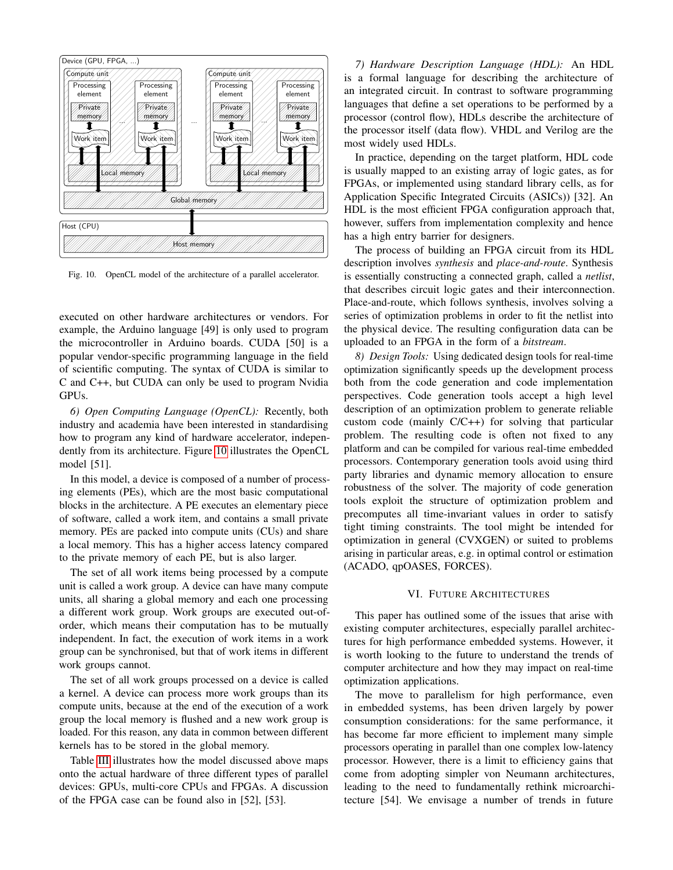

<span id="page-11-1"></span>Fig. 10. OpenCL model of the architecture of a parallel accelerator.

executed on other hardware architectures or vendors. For example, the Arduino language [49] is only used to program the microcontroller in Arduino boards. CUDA [50] is a popular vendor-specific programming language in the field of scientific computing. The syntax of CUDA is similar to C and C++, but CUDA can only be used to program Nvidia GPUs.

*6) Open Computing Language (OpenCL):* Recently, both industry and academia have been interested in standardising how to program any kind of hardware accelerator, independently from its architecture. Figure [10](#page-11-1) illustrates the OpenCL model [51].

In this model, a device is composed of a number of processing elements (PEs), which are the most basic computational blocks in the architecture. A PE executes an elementary piece of software, called a work item, and contains a small private memory. PEs are packed into compute units (CUs) and share a local memory. This has a higher access latency compared to the private memory of each PE, but is also larger.

The set of all work items being processed by a compute unit is called a work group. A device can have many compute units, all sharing a global memory and each one processing a different work group. Work groups are executed out-oforder, which means their computation has to be mutually independent. In fact, the execution of work items in a work group can be synchronised, but that of work items in different work groups cannot.

The set of all work groups processed on a device is called a kernel. A device can process more work groups than its compute units, because at the end of the execution of a work group the local memory is flushed and a new work group is loaded. For this reason, any data in common between different kernels has to be stored in the global memory.

Table [III](#page-12-1) illustrates how the model discussed above maps onto the actual hardware of three different types of parallel devices: GPUs, multi-core CPUs and FPGAs. A discussion of the FPGA case can be found also in [52], [53].

*7) Hardware Description Language (HDL):* An HDL is a formal language for describing the architecture of an integrated circuit. In contrast to software programming languages that define a set operations to be performed by a processor (control flow), HDLs describe the architecture of the processor itself (data flow). VHDL and Verilog are the most widely used HDLs.

In practice, depending on the target platform, HDL code is usually mapped to an existing array of logic gates, as for FPGAs, or implemented using standard library cells, as for Application Specific Integrated Circuits (ASICs)) [32]. An HDL is the most efficient FPGA configuration approach that, however, suffers from implementation complexity and hence has a high entry barrier for designers.

The process of building an FPGA circuit from its HDL description involves *synthesis* and *place-and-route*. Synthesis is essentially constructing a connected graph, called a *netlist*, that describes circuit logic gates and their interconnection. Place-and-route, which follows synthesis, involves solving a series of optimization problems in order to fit the netlist into the physical device. The resulting configuration data can be uploaded to an FPGA in the form of a *bitstream*.

*8) Design Tools:* Using dedicated design tools for real-time optimization significantly speeds up the development process both from the code generation and code implementation perspectives. Code generation tools accept a high level description of an optimization problem to generate reliable custom code (mainly C/C++) for solving that particular problem. The resulting code is often not fixed to any platform and can be compiled for various real-time embedded processors. Contemporary generation tools avoid using third party libraries and dynamic memory allocation to ensure robustness of the solver. The majority of code generation tools exploit the structure of optimization problem and precomputes all time-invariant values in order to satisfy tight timing constraints. The tool might be intended for optimization in general (CVXGEN) or suited to problems arising in particular areas, e.g. in optimal control or estimation (ACADO, qpOASES, FORCES).

## VI. FUTURE ARCHITECTURES

<span id="page-11-0"></span>This paper has outlined some of the issues that arise with existing computer architectures, especially parallel architectures for high performance embedded systems. However, it is worth looking to the future to understand the trends of computer architecture and how they may impact on real-time optimization applications.

The move to parallelism for high performance, even in embedded systems, has been driven largely by power consumption considerations: for the same performance, it has become far more efficient to implement many simple processors operating in parallel than one complex low-latency processor. However, there is a limit to efficiency gains that come from adopting simpler von Neumann architectures, leading to the need to fundamentally rethink microarchitecture [54]. We envisage a number of trends in future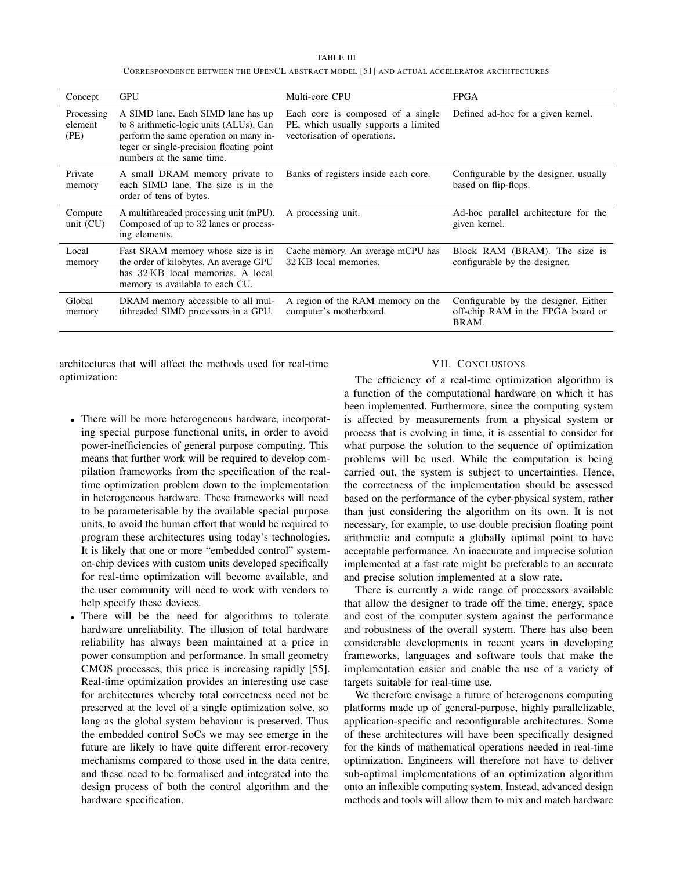TABLE III

CORRESPONDENCE BETWEEN THE OPENCL ABSTRACT MODEL [51] AND ACTUAL ACCELERATOR ARCHITECTURES

<span id="page-12-1"></span>

| Concept                       | <b>GPU</b>                                                                                                                                                                                       | Multi-core CPU                                                                                            | <b>FPGA</b>                                                                        |
|-------------------------------|--------------------------------------------------------------------------------------------------------------------------------------------------------------------------------------------------|-----------------------------------------------------------------------------------------------------------|------------------------------------------------------------------------------------|
| Processing<br>element<br>(PE) | A SIMD lane. Each SIMD lane has up<br>to 8 arithmetic-logic units (ALUs). Can<br>perform the same operation on many in-<br>teger or single-precision floating point<br>numbers at the same time. | Each core is composed of a single<br>PE, which usually supports a limited<br>vectorisation of operations. | Defined ad-hoc for a given kernel.                                                 |
| Private<br>memory             | A small DRAM memory private to<br>each SIMD lane. The size is in the<br>order of tens of bytes.                                                                                                  | Banks of registers inside each core.                                                                      | Configurable by the designer, usually<br>based on flip-flops.                      |
| Compute<br>unit $(CU)$        | A multithreaded processing unit (mPU).<br>Composed of up to 32 lanes or process-<br>ing elements.                                                                                                | A processing unit.                                                                                        | Ad-hoc parallel architecture for the<br>given kernel.                              |
| Local<br>memory               | Fast SRAM memory whose size is in<br>the order of kilobytes. An average GPU<br>has 32 KB local memories. A local<br>memory is available to each CU.                                              | Cache memory. An average mCPU has<br>32 KB local memories.                                                | Block RAM (BRAM). The size is<br>configurable by the designer.                     |
| Global<br>memory              | DRAM memory accessible to all mul-<br>tithreaded SIMD processors in a GPU.                                                                                                                       | A region of the RAM memory on the<br>computer's motherboard.                                              | Configurable by the designer. Either<br>off-chip RAM in the FPGA board or<br>BRAM. |

architectures that will affect the methods used for real-time optimization:

- There will be more heterogeneous hardware, incorporating special purpose functional units, in order to avoid power-inefficiencies of general purpose computing. This means that further work will be required to develop compilation frameworks from the specification of the realtime optimization problem down to the implementation in heterogeneous hardware. These frameworks will need to be parameterisable by the available special purpose units, to avoid the human effort that would be required to program these architectures using today's technologies. It is likely that one or more "embedded control" systemon-chip devices with custom units developed specifically for real-time optimization will become available, and the user community will need to work with vendors to help specify these devices.
- There will be the need for algorithms to tolerate hardware unreliability. The illusion of total hardware reliability has always been maintained at a price in power consumption and performance. In small geometry CMOS processes, this price is increasing rapidly [55]. Real-time optimization provides an interesting use case for architectures whereby total correctness need not be preserved at the level of a single optimization solve, so long as the global system behaviour is preserved. Thus the embedded control SoCs we may see emerge in the future are likely to have quite different error-recovery mechanisms compared to those used in the data centre, and these need to be formalised and integrated into the design process of both the control algorithm and the hardware specification.

#### VII. CONCLUSIONS

<span id="page-12-0"></span>The efficiency of a real-time optimization algorithm is a function of the computational hardware on which it has been implemented. Furthermore, since the computing system is affected by measurements from a physical system or process that is evolving in time, it is essential to consider for what purpose the solution to the sequence of optimization problems will be used. While the computation is being carried out, the system is subject to uncertainties. Hence, the correctness of the implementation should be assessed based on the performance of the cyber-physical system, rather than just considering the algorithm on its own. It is not necessary, for example, to use double precision floating point arithmetic and compute a globally optimal point to have acceptable performance. An inaccurate and imprecise solution implemented at a fast rate might be preferable to an accurate and precise solution implemented at a slow rate.

There is currently a wide range of processors available that allow the designer to trade off the time, energy, space and cost of the computer system against the performance and robustness of the overall system. There has also been considerable developments in recent years in developing frameworks, languages and software tools that make the implementation easier and enable the use of a variety of targets suitable for real-time use.

We therefore envisage a future of heterogenous computing platforms made up of general-purpose, highly parallelizable, application-specific and reconfigurable architectures. Some of these architectures will have been specifically designed for the kinds of mathematical operations needed in real-time optimization. Engineers will therefore not have to deliver sub-optimal implementations of an optimization algorithm onto an inflexible computing system. Instead, advanced design methods and tools will allow them to mix and match hardware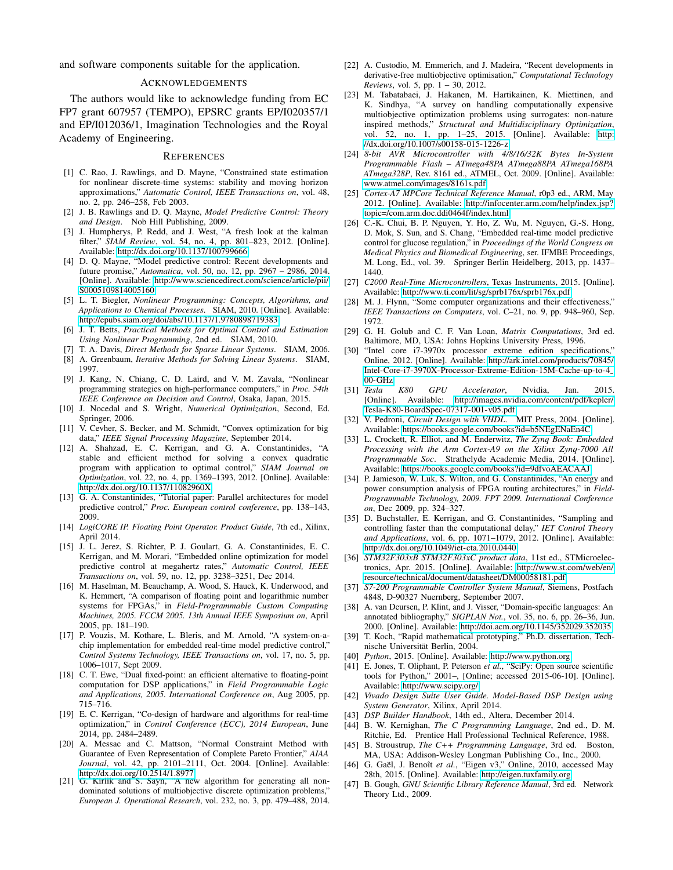and software components suitable for the application.

#### ACKNOWLEDGEMENTS

The authors would like to acknowledge funding from EC FP7 grant 607957 (TEMPO), EPSRC grants EP/I020357/1 and EP/I012036/1, Imagination Technologies and the Royal Academy of Engineering.

#### **REFERENCES**

- [1] C. Rao, J. Rawlings, and D. Mayne, "Constrained state estimation for nonlinear discrete-time systems: stability and moving horizon approximations," *Automatic Control, IEEE Transactions on*, vol. 48, no. 2, pp. 246–258, Feb 2003.
- [2] J. B. Rawlings and D. Q. Mayne, *Model Predictive Control: Theory and Design*. Nob Hill Publishing, 2009.
- [3] J. Humpherys, P. Redd, and J. West, "A fresh look at the kalman filter," *SIAM Review*, vol. 54, no. 4, pp. 801–823, 2012. [Online]. Available:<http://dx.doi.org/10.1137/100799666>
- [4] D. Q. Mayne, "Model predictive control: Recent developments and future promise," *Automatica*, vol. 50, no. 12, pp. 2967 – 2986, 2014. [Online]. Available: [http://www.sciencedirect.com/science/article/pii/](http://www.sciencedirect.com/science/article/pii/S0005109814005160) [S0005109814005160](http://www.sciencedirect.com/science/article/pii/S0005109814005160)
- [5] L. T. Biegler, *Nonlinear Programming: Concepts, Algorithms, and Applications to Chemical Processes*. SIAM, 2010. [Online]. Available: <http://epubs.siam.org/doi/abs/10.1137/1.9780898719383>
- [6] J. T. Betts, *Practical Methods for Optimal Control and Estimation Using Nonlinear Programming*, 2nd ed. SIAM, 2010.
- [7] T. A. Davis, *Direct Methods for Sparse Linear Systems*. SIAM, 2006.
- [8] A. Greenbaum, *Iterative Methods for Solving Linear Systems*. SIAM, 1997.
- [9] J. Kang, N. Chiang, C. D. Laird, and V. M. Zavala, "Nonlinear programming strategies on high-performance computers," in *Proc. 54th IEEE Conference on Decision and Control*, Osaka, Japan, 2015.
- [10] J. Nocedal and S. Wright, *Numerical Optimization*, Second, Ed. Springer, 2006.
- [11] V. Cevher, S. Becker, and M. Schmidt, "Convex optimization for big data," *IEEE Signal Processing Magazine*, September 2014.
- [12] A. Shahzad, E. C. Kerrigan, and G. A. Constantinides, "A stable and efficient method for solving a convex quadratic program with application to optimal control," *SIAM Journal on Optimization*, vol. 22, no. 4, pp. 1369–1393, 2012. [Online]. Available: <http://dx.doi.org/10.1137/11082960X>
- [13] G. A. Constantinides, "Tutorial paper: Parallel architectures for model predictive control," *Proc. European control conference*, pp. 138–143, 2009.
- [14] *LogiCORE IP. Floating Point Operator. Product Guide*, 7th ed., Xilinx, April 2014.
- [15] J. L. Jerez, S. Richter, P. J. Goulart, G. A. Constantinides, E. C. Kerrigan, and M. Morari, "Embedded online optimization for model predictive control at megahertz rates," *Automatic Control, IEEE Transactions on*, vol. 59, no. 12, pp. 3238–3251, Dec 2014.
- [16] M. Haselman, M. Beauchamp, A. Wood, S. Hauck, K. Underwood, and K. Hemmert, "A comparison of floating point and logarithmic number systems for FPGAs," in *Field-Programmable Custom Computing Machines, 2005. FCCM 2005. 13th Annual IEEE Symposium on*, April 2005, pp. 181–190.
- [17] P. Vouzis, M. Kothare, L. Bleris, and M. Arnold, "A system-on-achip implementation for embedded real-time model predictive control," *Control Systems Technology, IEEE Transactions on*, vol. 17, no. 5, pp. 1006–1017, Sept 2009.
- [18] C. T. Ewe, "Dual fixed-point: an efficient alternative to floating-point computation for DSP applications," in *Field Programmable Logic and Applications, 2005. International Conference on*, Aug 2005, pp. 715–716.
- [19] E. C. Kerrigan, "Co-design of hardware and algorithms for real-time optimization," in *Control Conference (ECC), 2014 European*, June 2014, pp. 2484–2489.
- [20] A. Messac and C. Mattson, "Normal Constraint Method with Guarantee of Even Representation of Complete Pareto Frontier," *AIAA Journal*, vol. 42, pp. 2101–2111, Oct. 2004. [Online]. Available: <http://dx.doi.org/10.2514/1.8977>
- [21] G. Kirlik and S. Sayn, "A new algorithm for generating all nondominated solutions of multiobjective discrete optimization problems," *European J. Operational Research*, vol. 232, no. 3, pp. 479–488, 2014.
- [22] A. Custodio, M. Emmerich, and J. Madeira, "Recent developments in derivative-free multiobjective optimisation," *Computational Technology Reviews*, vol. 5, pp. 1 – 30, 2012.
- [23] M. Tabatabaei, J. Hakanen, M. Hartikainen, K. Miettinen, and K. Sindhya, "A survey on handling computationally expensive multiobjective optimization problems using surrogates: non-nature inspired methods," *Structural and Multidisciplinary Optimization*, vol. 52, no. 1, pp. 1–25, 2015. [Online]. Available: [http:](http://dx.doi.org/10.1007/s00158-015-1226-z) [//dx.doi.org/10.1007/s00158-015-1226-z](http://dx.doi.org/10.1007/s00158-015-1226-z)
- [24] *8-bit AVR Microcontroller with 4/8/16/32K Bytes In-System Programmable Flash – ATmega48PA ATmega88PA ATmega168PA ATmega328P*, Rev. 8161 ed., ATMEL, Oct. 2009. [Online]. Available: <www.atmel.com/images/8161s.pdf>
- [25] *Cortex-A7 MPCore Technical Reference Manual*, r0p3 ed., ARM, May 2012. [Online]. Available: [http://infocenter.arm.com/help/index.jsp?](http://infocenter.arm.com/help/index.jsp?topic=/ com.arm.doc.ddi0464f/index.html) [topic=/com.arm.doc.ddi0464f/index.html](http://infocenter.arm.com/help/index.jsp?topic=/ com.arm.doc.ddi0464f/index.html)
- [26] C.-K. Chui, B. P. Nguyen, Y. Ho, Z. Wu, M. Nguyen, G.-S. Hong, D. Mok, S. Sun, and S. Chang, "Embedded real-time model predictive control for glucose regulation," in *Proceedings of the World Congress on Medical Physics and Biomedical Engineering*, ser. IFMBE Proceedings, M. Long, Ed., vol. 39. Springer Berlin Heidelberg, 2013, pp. 1437– 1440.
- [27] *C2000 Real-Time Microcontrollers*, Texas Instruments, 2015. [Online]. Available:<http://www.ti.com/lit/sg/sprb176x/sprb176x.pdf>
- [28] M. J. Flynn, "Some computer organizations and their effectiveness," *IEEE Transactions on Computers*, vol. C–21, no. 9, pp. 948–960, Sep. 1972.
- [29] G. H. Golub and C. F. Van Loan, *Matrix Computations*, 3rd ed. Baltimore, MD, USA: Johns Hopkins University Press, 1996.
- [30] "Intel core i7-3970x processor extreme edition specifications," Online, 2012. [Online]. Available: [http://ark.intel.com/products/70845/](http://ark.intel.com/products/70845/ Intel-Core-i7-3970X-Processor-Extreme-Edition-15M-Cache-up-to-4_00-GHz) [Intel-Core-i7-3970X-Processor-Extreme-Edition-15M-Cache-up-to-4](http://ark.intel.com/products/70845/ Intel-Core-i7-3970X-Processor-Extreme-Edition-15M-Cache-up-to-4_00-GHz) [00-GHz](http://ark.intel.com/products/70845/ Intel-Core-i7-3970X-Processor-Extreme-Edition-15M-Cache-up-to-4_00-GHz)
- [31] *Tesla K80 GPU Accelerator*, Nvidia, Jan. 2015. [Online]. Available: [http://images.nvidia.com/content/pdf/kepler/](http://images.nvidia.com/content/pdf/kepler/ Tesla-K80-BoardSpec-07317-001-v05.pdf) [Tesla-K80-BoardSpec-07317-001-v05.pdf](http://images.nvidia.com/content/pdf/kepler/ Tesla-K80-BoardSpec-07317-001-v05.pdf)
- [32] V. Pedroni, *Circuit Design with VHDL*. MIT Press, 2004. [Online]. Available:<https://books.google.com/books?id=b5NEgENaEn4C>
- [33] L. Crockett, R. Elliot, and M. Enderwitz, *The Zynq Book: Embedded Processing with the Arm Cortex-A9 on the Xilinx Zynq-7000 All Programmable Soc*. Strathclyde Academic Media, 2014. [Online]. Available:<https://books.google.com/books?id=9dfvoAEACAAJ>
- [34] P. Jamieson, W. Luk, S. Wilton, and G. Constantinides, "An energy and power consumption analysis of FPGA routing architectures," in *Field-Programmable Technology, 2009. FPT 2009. International Conference on*, Dec 2009, pp. 324–327.
- [35] D. Buchstaller, E. Kerrigan, and G. Constantinides, "Sampling and controlling faster than the computational delay," *IET Control Theory and Applications*, vol. 6, pp. 1071–1079, 2012. [Online]. Available: <http://dx.doi.org/10.1049/iet-cta.2010.0440>
- [36] *STM32F303xB STM32F303xC product data*, 11st ed., STMicroelectronics, Apr. 2015. [Online]. Available: [http://www.st.com/web/en/](http://www.st.com/web/en/resource/technical/document/ datasheet/DM00058181.pdf) [resource/technical/document/datasheet/DM00058181.pdf](http://www.st.com/web/en/resource/technical/document/ datasheet/DM00058181.pdf)
- [37] *S7-200 Programmable Controller System Manual*, Siemens, Postfach 4848, D-90327 Nuernberg, September 2007.
- [38] A. van Deursen, P. Klint, and J. Visser, "Domain-specific languages: An annotated bibliography," *SIGPLAN Not.*, vol. 35, no. 6, pp. 26–36, Jun. 2000. [Online]. Available:<http://doi.acm.org/10.1145/352029.352035>
- [39] T. Koch, "Rapid mathematical prototyping," Ph.D. dissertation, Technische Universität Berlin, 2004.
- [40] *Python*, 2015. [Online]. Available:<http://www.python.org>
- [41] E. Jones, T. Oliphant, P. Peterson *et al.*, "SciPy: Open source scientific tools for Python," 2001–, [Online; accessed 2015-06-10]. [Online]. Available:<http://www.scipy.org/>
- [42] *Vivado Design Suite User Guide. Model-Based DSP Design using System Generator*, Xilinx, April 2014.
- [43] *DSP Builder Handbook*, 14th ed., Altera, December 2014.
- [44] B. W. Kernighan, *The C Programming Language*, 2nd ed., D. M. Ritchie, Ed. Prentice Hall Professional Technical Reference, 1988.
- [45] B. Stroustrup, *The C++ Programming Language*, 3rd ed. Boston, MA, USA: Addison-Wesley Longman Publishing Co., Inc., 2000.
- [46] G. Gaël, J. Benoît et al., "Eigen v3," Online, 2010, accessed May 28th, 2015. [Online]. Available:<http://eigen.tuxfamily.org>
- [47] B. Gough, *GNU Scientific Library Reference Manual*, 3rd ed. Network Theory Ltd., 2009.